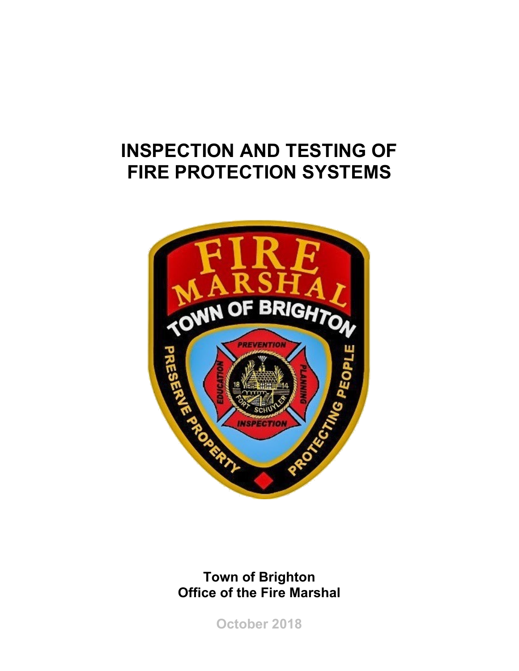# **INSPECTION AND TESTING OF FIRE PROTECTION SYSTEMS**



## **Town of Brighton Office of the Fire Marshal**

**October 2018**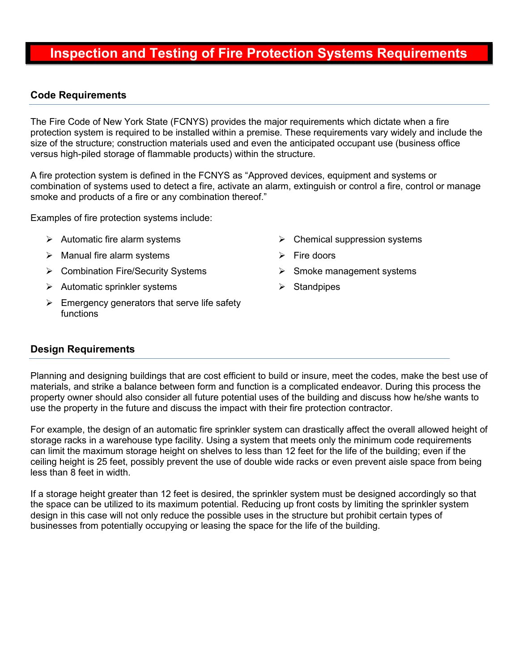### **Inspection and Testing of Fire Protection Systems Requirements**

#### **Code Requirements**

The Fire Code of New York State (FCNYS) provides the major requirements which dictate when a fire protection system is required to be installed within a premise. These requirements vary widely and include the size of the structure; construction materials used and even the anticipated occupant use (business office versus high-piled storage of flammable products) within the structure.

A fire protection system is defined in the FCNYS as "Approved devices, equipment and systems or combination of systems used to detect a fire, activate an alarm, extinguish or control a fire, control or manage smoke and products of a fire or any combination thereof."

Examples of fire protection systems include:

- $\triangleright$  Automatic fire alarm systems
- $\triangleright$  Manual fire alarm systems
- Combination Fire/Security Systems
- $\triangleright$  Automatic sprinkler systems
- $\triangleright$  Emergency generators that serve life safety functions
- $\triangleright$  Chemical suppression systems
- $\triangleright$  Fire doors
- $\triangleright$  Smoke management systems
- **Standpipes**

#### **Design Requirements**

Planning and designing buildings that are cost efficient to build or insure, meet the codes, make the best use of materials, and strike a balance between form and function is a complicated endeavor. During this process the property owner should also consider all future potential uses of the building and discuss how he/she wants to use the property in the future and discuss the impact with their fire protection contractor.

For example, the design of an automatic fire sprinkler system can drastically affect the overall allowed height of storage racks in a warehouse type facility. Using a system that meets only the minimum code requirements can limit the maximum storage height on shelves to less than 12 feet for the life of the building; even if the ceiling height is 25 feet, possibly prevent the use of double wide racks or even prevent aisle space from being less than 8 feet in width.

If a storage height greater than 12 feet is desired, the sprinkler system must be designed accordingly so that the space can be utilized to its maximum potential. Reducing up front costs by limiting the sprinkler system design in this case will not only reduce the possible uses in the structure but prohibit certain types of businesses from potentially occupying or leasing the space for the life of the building.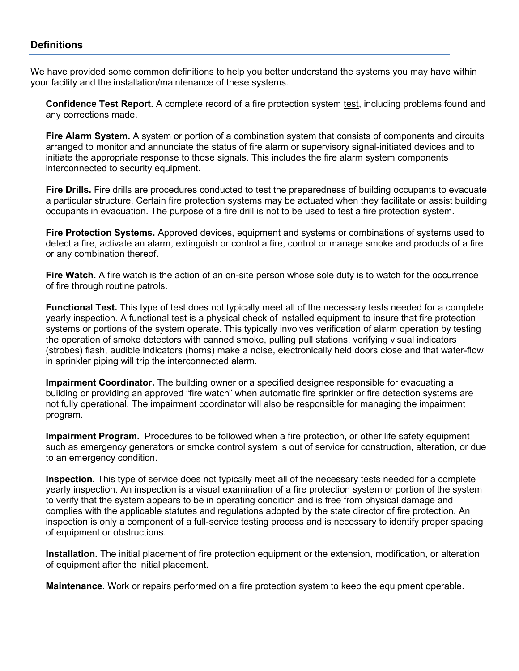#### **Definitions**

We have provided some common definitions to help you better understand the systems you may have within your facility and the installation/maintenance of these systems.

**Confidence Test Report.** A complete record of a fire protection system test, including problems found and any corrections made.

**Fire Alarm System.** A system or portion of a combination system that consists of components and circuits arranged to monitor and annunciate the status of fire alarm or supervisory signal-initiated devices and to initiate the appropriate response to those signals. This includes the fire alarm system components interconnected to security equipment.

**Fire Drills.** Fire drills are procedures conducted to test the preparedness of building occupants to evacuate a particular structure. Certain fire protection systems may be actuated when they facilitate or assist building occupants in evacuation. The purpose of a fire drill is not to be used to test a fire protection system.

**Fire Protection Systems.** Approved devices, equipment and systems or combinations of systems used to detect a fire, activate an alarm, extinguish or control a fire, control or manage smoke and products of a fire or any combination thereof.

**Fire Watch.** A fire watch is the action of an on-site person whose sole duty is to watch for the occurrence of fire through routine patrols.

**Functional Test.** This type of test does not typically meet all of the necessary tests needed for a complete yearly inspection. A functional test is a physical check of installed equipment to insure that fire protection systems or portions of the system operate. This typically involves verification of alarm operation by testing the operation of smoke detectors with canned smoke, pulling pull stations, verifying visual indicators (strobes) flash, audible indicators (horns) make a noise, electronically held doors close and that water-flow in sprinkler piping will trip the interconnected alarm.

**Impairment Coordinator.** The building owner or a specified designee responsible for evacuating a building or providing an approved "fire watch" when automatic fire sprinkler or fire detection systems are not fully operational. The impairment coordinator will also be responsible for managing the impairment program.

**Impairment Program.** Procedures to be followed when a fire protection, or other life safety equipment such as emergency generators or smoke control system is out of service for construction, alteration, or due to an emergency condition.

**Inspection.** This type of service does not typically meet all of the necessary tests needed for a complete yearly inspection. An inspection is a visual examination of a fire protection system or portion of the system to verify that the system appears to be in operating condition and is free from physical damage and complies with the applicable statutes and regulations adopted by the state director of fire protection. An inspection is only a component of a full-service testing process and is necessary to identify proper spacing of equipment or obstructions.

**Installation.** The initial placement of fire protection equipment or the extension, modification, or alteration of equipment after the initial placement.

**Maintenance.** Work or repairs performed on a fire protection system to keep the equipment operable.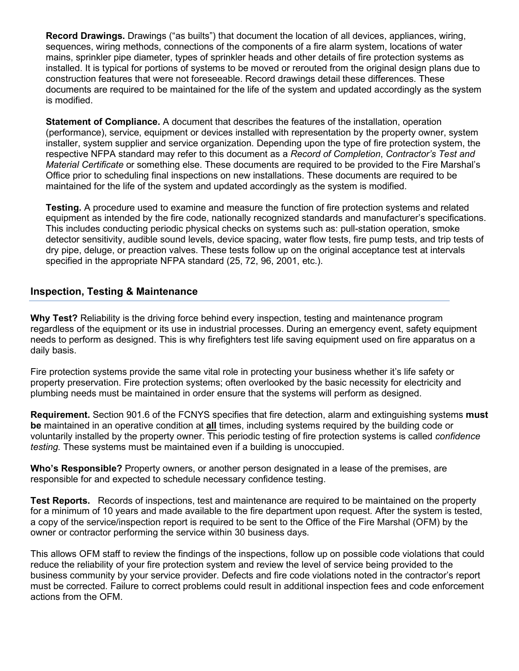**Record Drawings.** Drawings ("as builts") that document the location of all devices, appliances, wiring, sequences, wiring methods, connections of the components of a fire alarm system, locations of water mains, sprinkler pipe diameter, types of sprinkler heads and other details of fire protection systems as installed. It is typical for portions of systems to be moved or rerouted from the original design plans due to construction features that were not foreseeable. Record drawings detail these differences. These documents are required to be maintained for the life of the system and updated accordingly as the system is modified.

**Statement of Compliance.** A document that describes the features of the installation, operation (performance), service, equipment or devices installed with representation by the property owner, system installer, system supplier and service organization. Depending upon the type of fire protection system, the respective NFPA standard may refer to this document as a *Record of Completion*, *Contractor's Test and Material Certificate* or something else. These documents are required to be provided to the Fire Marshal's Office prior to scheduling final inspections on new installations. These documents are required to be maintained for the life of the system and updated accordingly as the system is modified.

**Testing.** A procedure used to examine and measure the function of fire protection systems and related equipment as intended by the fire code, nationally recognized standards and manufacturer's specifications. This includes conducting periodic physical checks on systems such as: pull-station operation, smoke detector sensitivity, audible sound levels, device spacing, water flow tests, fire pump tests, and trip tests of dry pipe, deluge, or preaction valves. These tests follow up on the original acceptance test at intervals specified in the appropriate NFPA standard (25, 72, 96, 2001, etc.).

#### **Inspection, Testing & Maintenance**

**Why Test?** Reliability is the driving force behind every inspection, testing and maintenance program regardless of the equipment or its use in industrial processes. During an emergency event, safety equipment needs to perform as designed. This is why firefighters test life saving equipment used on fire apparatus on a daily basis.

Fire protection systems provide the same vital role in protecting your business whether it's life safety or property preservation. Fire protection systems; often overlooked by the basic necessity for electricity and plumbing needs must be maintained in order ensure that the systems will perform as designed.

**Requirement.** Section 901.6 of the FCNYS specifies that fire detection, alarm and extinguishing systems **must be** maintained in an operative condition at **all** times, including systems required by the building code or voluntarily installed by the property owner. This periodic testing of fire protection systems is called *confidence testing.* These systems must be maintained even if a building is unoccupied.

**Who's Responsible?** Property owners, or another person designated in a lease of the premises, are responsible for and expected to schedule necessary confidence testing.

**Test Reports.** Records of inspections, test and maintenance are required to be maintained on the property for a minimum of 10 years and made available to the fire department upon request. After the system is tested, a copy of the service/inspection report is required to be sent to the Office of the Fire Marshal (OFM) by the owner or contractor performing the service within 30 business days.

This allows OFM staff to review the findings of the inspections, follow up on possible code violations that could reduce the reliability of your fire protection system and review the level of service being provided to the business community by your service provider. Defects and fire code violations noted in the contractor's report must be corrected. Failure to correct problems could result in additional inspection fees and code enforcement actions from the OFM.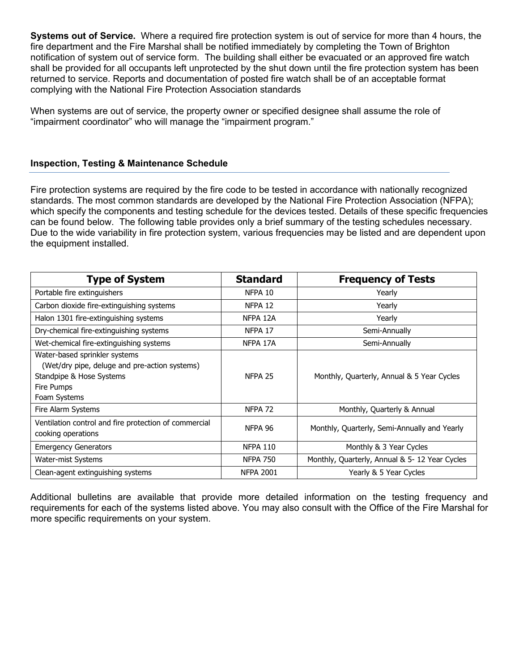**Systems out of Service.** Where a required fire protection system is out of service for more than 4 hours, the fire department and the Fire Marshal shall be notified immediately by completing the Town of Brighton notification of system out of service form. The building shall either be evacuated or an approved fire watch shall be provided for all occupants left unprotected by the shut down until the fire protection system has been returned to service. Reports and documentation of posted fire watch shall be of an acceptable format complying with the National Fire Protection Association standards

When systems are out of service, the property owner or specified designee shall assume the role of "impairment coordinator" who will manage the "impairment program."

#### **Inspection, Testing & Maintenance Schedule**

Fire protection systems are required by the fire code to be tested in accordance with nationally recognized standards. The most common standards are developed by the National Fire Protection Association (NFPA); which specify the components and testing schedule for the devices tested. Details of these specific frequencies can be found below. The following table provides only a brief summary of the testing schedules necessary. Due to the wide variability in fire protection system, various frequencies may be listed and are dependent upon the equipment installed.

| <b>Type of System</b>                                                                                                                    | <b>Standard</b>    | <b>Frequency of Tests</b>                     |
|------------------------------------------------------------------------------------------------------------------------------------------|--------------------|-----------------------------------------------|
| Portable fire extinguishers                                                                                                              | NFPA 10            | Yearly                                        |
| Carbon dioxide fire-extinguishing systems                                                                                                | NFPA 12            | Yearly                                        |
| Halon 1301 fire-extinguishing systems                                                                                                    | NFPA 12A           | Yearly                                        |
| Dry-chemical fire-extinguishing systems                                                                                                  | NFPA 17            | Semi-Annually                                 |
| Wet-chemical fire-extinguishing systems                                                                                                  | NFPA 17A           | Semi-Annually                                 |
| Water-based sprinkler systems<br>(Wet/dry pipe, deluge and pre-action systems)<br>Standpipe & Hose Systems<br>Fire Pumps<br>Foam Systems | NFPA <sub>25</sub> | Monthly, Quarterly, Annual & 5 Year Cycles    |
| Fire Alarm Systems                                                                                                                       | NFPA <sub>72</sub> | Monthly, Quarterly & Annual                   |
| Ventilation control and fire protection of commercial<br>cooking operations                                                              | NFPA 96            | Monthly, Quarterly, Semi-Annually and Yearly  |
| <b>Emergency Generators</b>                                                                                                              | <b>NFPA 110</b>    | Monthly & 3 Year Cycles                       |
| Water-mist Systems                                                                                                                       | <b>NFPA 750</b>    | Monthly, Quarterly, Annual & 5-12 Year Cycles |
| Clean-agent extinguishing systems                                                                                                        | <b>NFPA 2001</b>   | Yearly & 5 Year Cycles                        |

Additional bulletins are available that provide more detailed information on the testing frequency and requirements for each of the systems listed above. You may also consult with the Office of the Fire Marshal for more specific requirements on your system.